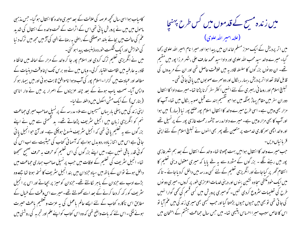کامیاب ہوا اسی سال تحچھ عرصہ کی علالت کے بعد میری والدہ کا انتقال ہو گیا۔ حس مذہبی ماحول میں میں نے پرورش یا ئی تھی اس کے اثرات کے تحت والدہ کے انتقال کی شدید عم کی حالت میں بجائے بلند حوصلگی کے راحنی بہ رصائے الہی کی آڑ میں مجھ میں ترک د نیا کی حواہش اور ایک شکست حوردہ ذہنیت پیدا ہو کئی۔ میں نے انگریزی تعلیم ترک کردی اور اسلام پور جا کر والد کے مزار کے احاطہ میں خانقا ہ قادر بہ عارفیہ میں اقامت اختیار کرلی۔ وہاں میں نے دو برس تک اپنا وقت دینیات کے مطالعہ اور عمادت میں گزارا -اسلام پور کی آب وہوا ناموافق ثابت ہو ئی اور میں بیمار ہو کر واپس آیا۔ صحت پاب ہونے کے بعد چند عزیزوں کے اصرار پر میں نے وار اناسی (بنارس) کے ایک مش اسکول میں داخلہ لے لیا۔ اپنی زندگی میں پہلی بار یہاں مسیحیوں سے ملا۔ مدرسہ کے پر نسپل صاحب میری حماعت نہم کو انگریزی زبان میں انجیل سٹریف پڑھاتے تھے۔ ید قسمتی سے میں نے اپنے بزر گوں سے یہ تعلیم یائی تھی کہ انجیل سٹریف منسوخ ہوچکی ہے۔ اور آج حوانجیل یائی جا تی ہے اس میں اتنا زیادہ ردوبدل ہواہے کہ آسما فی کتاب کی حیثیت سے اب اس کی کوئی قدر یاقی نہیں ہے۔میں اپنے بزرگوں کی اس تعلیم کو حر**ف بہ حرف ص**حیح سمجھتا تھا۔ انجیل سٹریف کی تعلیم کے اوقات میں حب پر نسپل صاحب ہماری حماعت میں داخل ہوتے تو ان کے باتھ میں سیاہ حزدان میں بند انجیل سٹریف کا نسخہ ہوتا تھا جسے وہ بڑے ادب سے حزدان کے باہر لکالتے تھے۔ حزدان کومیز پر بھاتے اور اس پر انجیل ینٹر بیٹ کور کھ کر دعا کرنے کے بعد اسے کھولتے تھے۔میرے اس وقت کے خیال کے مطابق اس ناکارہ کتاب کے لئے ایسے عالم باعمل کی یہ عزت و تعظیم باعث حیرت ہونے لگی ۔اس لئے کہ بات واضح تھی کہ وہ اس کتاب کو اپنے علم اور تجربہ کی روشنی میں

میں زندہ مسح کے قدموں میں کس طرح پہنچا

(علامہ امیر اللہ علوی) میں اتر پردیش کے ایک معزز مسلم خاندان میں پیدا ہوا اور میرا نام امیر اللہ علوی رکھا گیا- میرے والد سید محب اللہ علوی اور دادا سید محمد عارف علی ،شہر مرزا پور میں مقیم تھے۔ ان دو نوں بزر گوں کا سلسلہ قادریہ میں خلافت حاصل تھی اور ان کے مریدوں کی قابل لحاظ تعداد اتر بردیش ، بہار ، بنگال اور دوسرےصو بوں میں یا ئی جا تی تھی۔ تبلیغ اسلام اور روحا فی رہبری کے لئے انہیں اکثر سفر کرنا پڑتا تھا۔میرے دادا کا انتقال دوران سفر میں مقام پہاڑ بھنگہ میں ہوا حو تقسیم ہند سے قبل صوبہ بنگال میں تھا۔ آپ کا مزار بھی وہیں ہے۔ اسی طرح میرے والد کا انتقال اسلام پور صلع پور نیا (بہار ) میں ہوا اور آپ کا بھی مزار وہیں ہے۔ میرے دادا مدرسہ جشمہ رحمت غازی پور کے پر نسپل تھے اور والد اچھی سمر کاری خدمت پر متعین تھے پھر بھی انہوں نے تبلیغ اسلام کے لئے اپنی قربانبال دیں۔

حب میرے والد کا انتقال ہوا میں بہت چھوٹا تھا۔ والد کے انتقال کے بعد ہم شہر غازی پور میں رہنے لگے ۔ بزر گوں کے مثورہ سے یہ طے پایا کہ میری معقول دینی تعلیم کا انتظام گھر پر کیاجائے اور انگریزی تعلیم کے لئے کسی مدرسہ میں داخل کردیاجائے۔ تاکہ میں ایک خود مکتفی سجا دہ نشین بنوں اور دینی خدمات اعزازی طور پر کروں۔میری دو نوں طرح کی تعلیمات سٹروع کردی کئیں۔ گومیری پرورش میں کسی قسم کی تھی گوارا نہیں کی جا تی تھی تو بھی میں جیوں جیوں بڑھتا گیااور جب کبھی بھی میری زند کی میں عم آیا تو اس کا خاص سبب میر ا احساس یتیمی تھا۔ میں جس سال حماعت ہشتم کے امتحان میں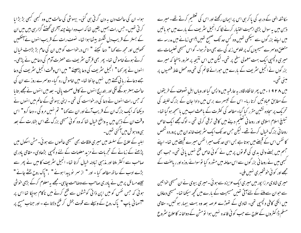ہوا۔ ان کی حالت دن یہ دن گر تی ہی گئی۔ بیہونٹی کی حالت میں وہ کبھی کبھی بڑ بڑایا کر ٹی تھیں۔حس رات ہمیں یقین تھا کہ اب وہ اپنے چند آخری *تھفنے گز*ار <sub>ت</sub>ی بیں میں ان کے بستر کے قریب دل شکستہ بیٹھا ہوا تھا۔ نصف رات کے قریب انہوں نے آنکھیں تحصولیں اور مجھ سے کہا " دعا کیجئے " اس درخواست کو میں ان کی عام بڑ بڑاہٹ خیال کرتے ہوئے خاموش تھا۔ پھر بھی قرآن سٹریف سے حصرت آدم کی دعامیں نے پڑھی۔ انہوں نے پھر کھا" انجیل سٹریف کی دعا پڑھیئے" میں اس وقت انجیل سٹریف کی دعا جے دعائے ریا ٹی کھتے ہیں نہیں جا نتا تھا۔ میں خاموش رہ گیا۔ دوسمرے روز سے ان کی حالت بہتر ہوئگے لگی اور بتدریج انہوں نے کامل صحت پالی۔ بعد میں انہوں نے مجھے بتایا کہ جس رات انہوں نے دعا کی درخواست کی تھی ۔اپنی بیہوشی کے عالم میں انہوں نے دیکھا کہ ایک بزرگ ان کے قریب آئے اور ان سے کہا " تم نہیں مرو کی ۔ دعا کرو " اس وقت ان کے ذہن میں یہ واضح خیال تھا کہ وہ کوئی مسیحی بزرگ تھے اس بشارت کے بعد ہی وہ ہوش میں آگئی تھیں۔

اہلیہ کے علاج کے سلسلہ میں میری ملاقات بھی مسیحی عالموں سے ہوئی۔ مش اسکول میں پڑھنے کے زمانے کے تجربات نے مزید معلومات کے لئے دلچیپی بڑھادی- مقامی یادری صاحب سے اکثر ملتا اور مذہبی تبادلہ خیال کرتا تھا۔ انجیل سٹریف کا میں نے پھر سے بڑے ادب کے ساتھ مطالعہ کیا - اور " از سمر پو پیدا ہونے " ،" پاک روح بخشے جانے " جیسے مسائل پر میں نے یادری صاحب سے وصاحت چاہی۔مجھے یہ معلوم کرکے بڑی خوشی ہوئی کہ جس نفس کو میں اپن ذاتی کوششوں سے فتح کرنے میں ناکام ہوجکا تھا اس پر "آسمانی باپ" یاک روح کے وسیلے سے قوت بخش کر فتح دلاتا ہے - اور جناب مسیح پر

مکاشفہ الٰہی کے درجہ کی پا کر ہی اس پر ایمان رکھتے اور اس کی تعظیم کرتے تھے۔ میرے ذہن میں یہ سوال بڑی اہمیت اختیار کرنے لگا کہ انجیل سٹریف کے بارے میں جو باتیں میں اپنے بزر گوں سے سیکھی تھیں وہ کس حد تک صحیح تھیں ؟اسی زمانے میں مدرسہ سے متعلق دوسرے مسیحیوں ک پر خلوص زند کی سے بھی متاثر ہوا۔ گواس مسیحی تعلیمات سے میری دلچسپی ایک بہت معمولی سطح پر تھی۔لیکن میں اس نتیجہ پر صرور پہنچا کہ میرے بزر گوں نے انجیل سٹر یف کے مارے میں حورائے قائم کی تھی وہ محض علط فہمیوں پر مېنې تھی۔

میں ۱۹۲۸ء میں پھر خانقاہ قادر ہہ عارفیہ میں واپس گیا اور وباں اہل تصوف کے طریقوں کے مطابق عماد تیں کرتا رہا۔ اس کے تیسرے برس میں دادا جان کے بزرگ خلیفہ کی تحریک پر سجادہ نشین مقرر کیا گیا۔مطالعہ کی کنثرت کے باعث اب میں باسمجھ ہو گیا تھا۔ تبلیغ اسلام اسلامی اور روحا فی تعلیم دینے میں کافی ترقی کرلی تھی ۔ لوگ مجھے ایک خاص روحا فی بزرگ خیال کرتے تھے۔ لیکن جس حد تک ایک سثر یف خاندان میں پرور دہ شخص کا نفس اس کے قبصے میں ہو تا ہے بس اسی حد تک میرا نفس میرے قبصے میں تھا۔ اپنے جسم میں بسنے والی بدی کی قویوں پر میں نے کوئی خاص فتح نہیں یائی تھی۔ جب بھی کسجی میں نے روحا فی بزر گوں سے اس معاملہ میں مشورہ کیا تو سوائے روزہ اور ریاصنت کے مجھے اور کوئی خوشخبری نہیں ملی۔

میری شادی مرزا پور میں میری ایک عزیزہ سے ہوئی۔میری بیوی نے ان مسیحی خواتین سے حوان سے ملنے کے لئے آتی تھیں مسیحیت کے بارے میں تحجیے سیکھا تھا۔مسیحی دعاؤں میں انکی کافی دلچسپی تھی۔ شادی کے تھوڑے عرصہ بعد وہ بہت بیمار ہو گئیں۔ مقامی مسلم ڈاکٹروں کے علاج سے جب کو ئی فائدہ نہیں ہوا تومش کے دواخا نہ کا علاج سٹروع